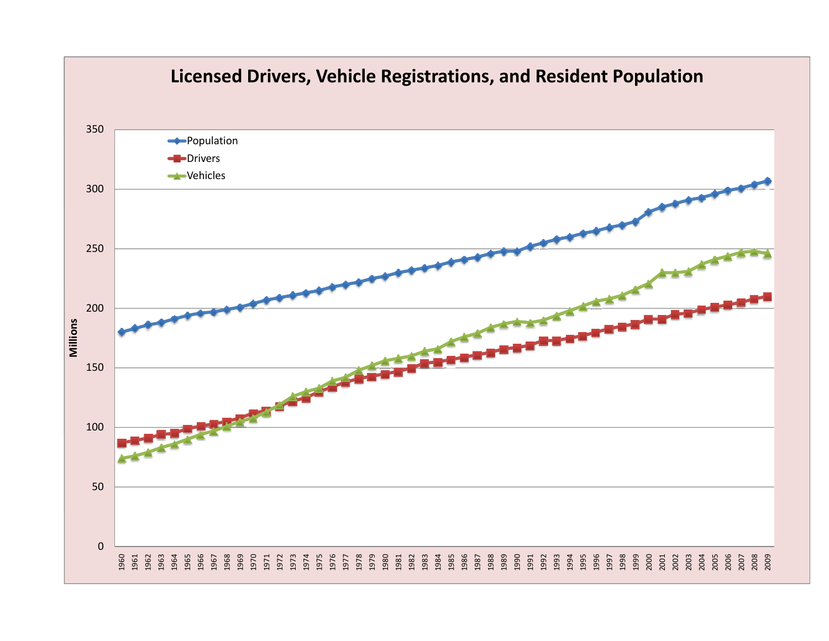